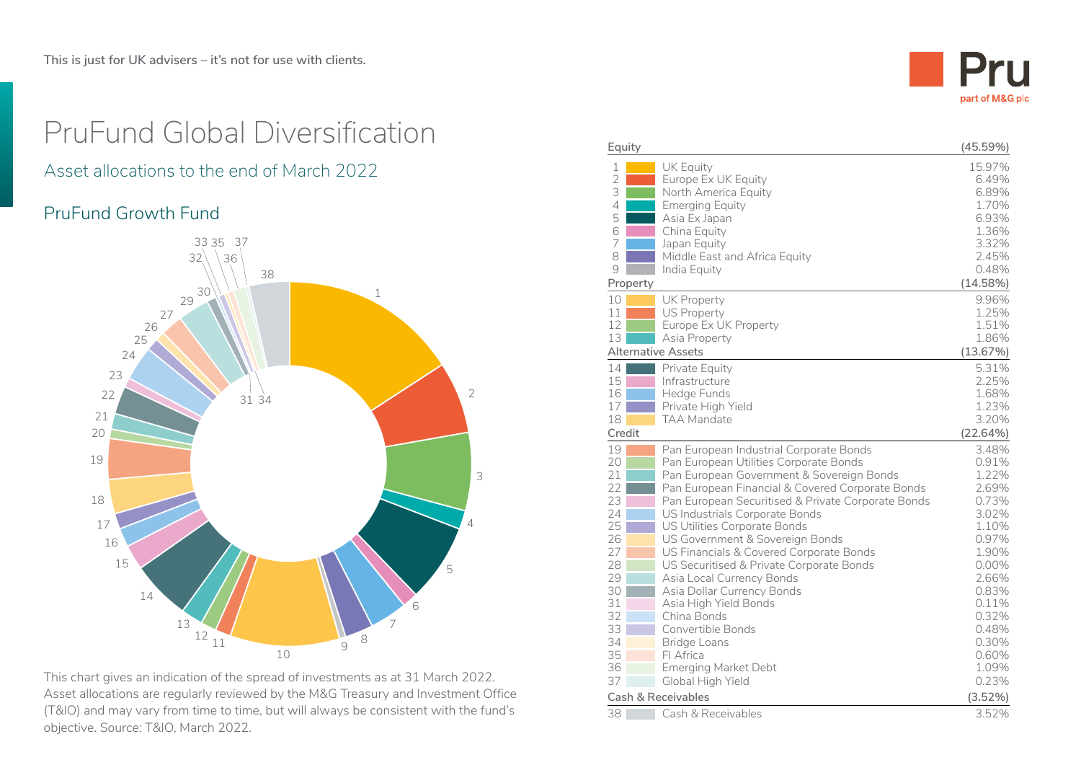

# PruFund Global Diversification

## Asset allocations to the end of March 2022

### PruFund Growth Fund



This chart gives an indication of the spread of investments as at 31 March 2022. Asset allocations are regularly reviewed by the M&G Treasury and Investment Office (T&IO) and may vary from time to time, but will always be consistent with the fund's objective. Source: T&IO, March 2022.

| Equity         |                                                                                               | (45.59%)       |
|----------------|-----------------------------------------------------------------------------------------------|----------------|
| 1              | <b>UK Equity</b>                                                                              | 15.97%         |
| 2              | Europe Ex UK Equity                                                                           | 6.49%          |
| 3              | North America Equity                                                                          | 6.89%          |
| $\overline{4}$ | <b>Emerging Equity</b>                                                                        | 1.70%          |
| 5              | Asia Ex Japan                                                                                 | 6.93%          |
| 6              | China Equity                                                                                  | 1.36%          |
| 7              | Japan Equity                                                                                  | 3.32%          |
| 8              | Middle East and Africa Equity                                                                 | 2.45%          |
| 9              | India Equity                                                                                  | 0.48%          |
| Property       |                                                                                               | (14.58%)       |
| 10             | <b>UK Property</b>                                                                            | 9.96%          |
| 11             | <b>US Property</b>                                                                            | 1.25%          |
| 12             | Europe Ex UK Property                                                                         | 1.51%          |
| 13             | Asia Property                                                                                 | 1.86%          |
|                | <b>Alternative Assets</b>                                                                     | (13.67%)       |
| 14             | Private Equity                                                                                | 5.31%          |
| 15             | Infrastructure                                                                                | 2.25%          |
| 16             | Hedge Funds                                                                                   | 1.68%          |
| 17<br>18       | Private High Yield<br>TAA Mandate                                                             | 1.23%          |
|                |                                                                                               | 3.20%          |
| Credit         |                                                                                               | (22.64%)       |
| 19             | Pan European Industrial Corporate Bonds                                                       | 3.48%          |
| 20<br>21       | Pan European Utilities Corporate Bonds                                                        | 0.91%<br>1.22% |
| 22             | Pan European Government & Sovereign Bonds<br>Pan European Financial & Covered Corporate Bonds | 2.69%          |
| 23             | Pan European Securitised & Private Corporate Bonds                                            | 0.73%          |
| 24             | US Industrials Corporate Bonds                                                                | 3.02%          |
| 25             | US Utilities Corporate Bonds                                                                  | 1.10%          |
| 26             | US Government & Sovereign Bonds                                                               | 0.97%          |
| 27             | US Financials & Covered Corporate Bonds                                                       | 1.90%          |
| 28             | US Securitised & Private Corporate Bonds                                                      | $0.00\%$       |
| 29             | Asia Local Currency Bonds                                                                     | 2.66%          |
| 30             | Asia Dollar Currency Bonds                                                                    | 0.83%          |
| 31             | Asia High Yield Bonds                                                                         | 0.11%          |
| 32             | China Bonds                                                                                   | 0.32%          |
| 33             | Convertible Bonds                                                                             | 0.48%          |
| 34             | Bridge Loans                                                                                  | 0.30%          |
| 35             | FI Africa                                                                                     | 0.60%          |
| 36             | <b>Emerging Market Debt</b>                                                                   | 1.09%          |
| 37             | Global High Yield                                                                             | 0.23%          |
|                | <b>Cash &amp; Receivables</b>                                                                 | (3.52%)        |
| 38             | Cash & Receivables                                                                            | 3.52%          |